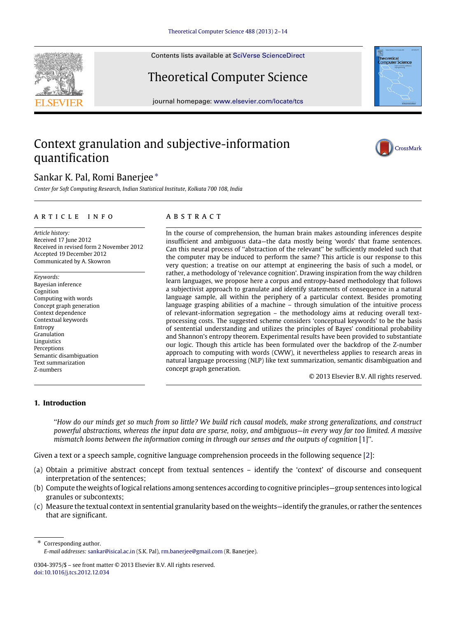Contents lists available at [SciVerse ScienceDirect](http://www.elsevier.com/locate/tcs)

# Theoretical Computer Science

journal homepage: [www.elsevier.com/locate/tcs](http://www.elsevier.com/locate/tcs)

# Context granulation and subjective-information quantification

# Sankar K. Pal, Romi Banerjee [∗](#page-0-0)

*Center for Soft Computing Research, Indian Statistical Institute, Kolkata 700 108, India*

#### a r t i c l e i n f o

*Article history:* Received 17 June 2012 Received in revised form 2 November 2012 Accepted 19 December 2012 Communicated by A. Skowron

*Keywords:* Bayesian inference Cognition Computing with words Concept graph generation Context dependence Contextual keywords Entropy Granulation Linguistics **Perceptions** Semantic disambiguation Text summarization Z-numbers

# a b s t r a c t

In the course of comprehension, the human brain makes astounding inferences despite insufficient and ambiguous data—the data mostly being 'words' that frame sentences. Can this neural process of ''abstraction of the relevant'' be sufficiently modeled such that the computer may be induced to perform the same? This article is our response to this very question; a treatise on our attempt at engineering the basis of such a model, or rather, a methodology of 'relevance cognition'. Drawing inspiration from the way children learn languages, we propose here a corpus and entropy-based methodology that follows a subjectivist approach to granulate and identify statements of consequence in a natural language sample, all within the periphery of a particular context. Besides promoting language grasping abilities of a machine – through simulation of the intuitive process of relevant-information segregation – the methodology aims at reducing overall textprocessing costs. The suggested scheme considers 'conceptual keywords' to be the basis of sentential understanding and utilizes the principles of Bayes' conditional probability and Shannon's entropy theorem. Experimental results have been provided to substantiate our logic. Though this article has been formulated over the backdrop of the Z-number approach to computing with words (CWW), it nevertheless applies to research areas in natural language processing (NLP) like text summarization, semantic disambiguation and concept graph generation.

© 2013 Elsevier B.V. All rights reserved.

## **1. Introduction**

''*How do our minds get so much from so little? We build rich causal models, make strong generalizations, and construct powerful abstractions, whereas the input data are sparse, noisy, and ambiguous—in every way far too limited. A massive mismatch looms between the information coming in through our senses and the outputs of cognition* [\[1\]](#page-11-0)''.

Given a text or a speech sample, cognitive language comprehension proceeds in the following sequence [\[2\]](#page-11-1):

- (a) Obtain a primitive abstract concept from textual sentences identify the 'context' of discourse and consequent interpretation of the sentences;
- (b) Compute the weights of logical relations among sentences according to cognitive principles—group sentences into logical granules or subcontexts;
- (c) Measure the textual context in sentential granularity based on the weights—identify the granules, or rather the sentences that are significant.

<span id="page-0-0"></span>Corresponding author. *E-mail addresses:* [sankar@isical.ac.in](mailto:sankar@isical.ac.in) (S.K. Pal), [rm.banerjee@gmail.com](mailto:rm.banerjee@gmail.com) (R. Banerjee).







<sup>0304-3975/\$ –</sup> see front matter © 2013 Elsevier B.V. All rights reserved. [doi:10.1016/j.tcs.2012.12.034](http://dx.doi.org/10.1016/j.tcs.2012.12.034)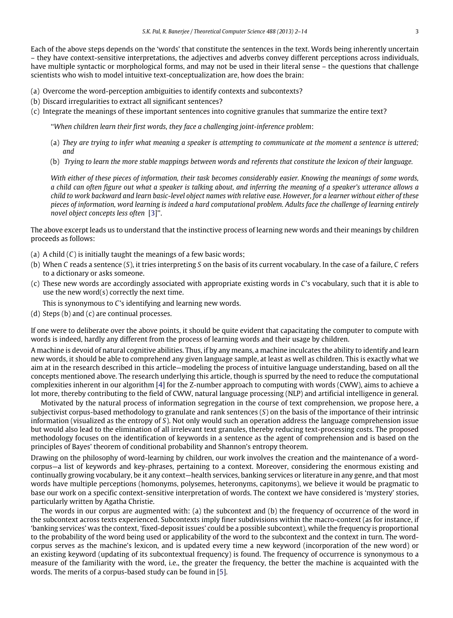Each of the above steps depends on the 'words' that constitute the sentences in the text. Words being inherently uncertain – they have context-sensitive interpretations, the adjectives and adverbs convey different perceptions across individuals, have multiple syntactic or morphological forms, and may not be used in their literal sense – the questions that challenge scientists who wish to model intuitive text-conceptualization are, how does the brain:

- (a) Overcome the word-perception ambiguities to identify contexts and subcontexts?
- (b) Discard irregularities to extract all significant sentences?
- (c) Integrate the meanings of these important sentences into cognitive granules that summarize the entire text?

''*When children learn their first words, they face a challenging joint-inference problem*:

- (a) *They are trying to infer what meaning a speaker is attempting to communicate at the moment a sentence is uttered; and*
- (b) *Trying to learn the more stable mappings between words and referents that constitute the lexicon of their language.*

*With either of these pieces of information, their task becomes considerably easier. Knowing the meanings of some words, a child can often figure out what a speaker is talking about, and inferring the meaning of a speaker's utterance allows a child to work backward and learn basic-level object names with relative ease. However, for a learner without either of these pieces of information, word learning is indeed a hard computational problem. Adults face the challenge of learning entirely novel object concepts less often* [\[3\]](#page-12-0)''.

The above excerpt leads us to understand that the instinctive process of learning new words and their meanings by children proceeds as follows:

- (a) A child (*C*) is initially taught the meanings of a few basic words;
- (b) When *C* reads a sentence (*S*), it tries interpreting *S* on the basis of its current vocabulary. In the case of a failure, *C* refers to a dictionary or asks someone.
- (c) These new words are accordingly associated with appropriate existing words in *C*'s vocabulary, such that it is able to use the new word(s) correctly the next time.

This is synonymous to *C*'s identifying and learning new words.

(d) Steps (b) and (c) are continual processes.

If one were to deliberate over the above points, it should be quite evident that capacitating the computer to compute with words is indeed, hardly any different from the process of learning words and their usage by children.

A machine is devoid of natural cognitive abilities. Thus, if by any means, a machine inculcates the ability to identify and learn new words, it should be able to comprehend any given language sample, at least as well as children. This is exactly what we aim at in the research described in this article—modeling the process of intuitive language understanding, based on all the concepts mentioned above. The research underlying this article, though is spurred by the need to reduce the computational complexities inherent in our algorithm [\[4\]](#page-12-1) for the Z-number approach to computing with words (CWW), aims to achieve a lot more, thereby contributing to the field of CWW, natural language processing (NLP) and artificial intelligence in general.

Motivated by the natural process of information segregation in the course of text comprehension, we propose here, a subjectivist corpus-based methodology to granulate and rank sentences (*S*) on the basis of the importance of their intrinsic information (visualized as the entropy of *S*). Not only would such an operation address the language comprehension issue but would also lead to the elimination of all irrelevant text granules, thereby reducing text-processing costs. The proposed methodology focuses on the identification of keywords in a sentence as the agent of comprehension and is based on the principles of Bayes' theorem of conditional probability and Shannon's entropy theorem.

Drawing on the philosophy of word-learning by children, our work involves the creation and the maintenance of a wordcorpus—a list of keywords and key-phrases, pertaining to a context. Moreover, considering the enormous existing and continually growing vocabulary, be it any context—health services, banking services or literature in any genre, and that most words have multiple perceptions (homonyms, polysemes, heteronyms, capitonyms), we believe it would be pragmatic to base our work on a specific context-sensitive interpretation of words. The context we have considered is 'mystery' stories, particularly written by Agatha Christie.

The words in our corpus are augmented with: (a) the subcontext and (b) the frequency of occurrence of the word in the subcontext across texts experienced. Subcontexts imply finer subdivisions within the macro-context (as for instance, if 'banking services' was the context, 'fixed-deposit issues' could be a possible subcontext), while the frequency is proportional to the probability of the word being used or applicability of the word to the subcontext and the context in turn. The wordcorpus serves as the machine's lexicon, and is updated every time a new keyword (incorporation of the new word) or an existing keyword (updating of its subcontextual frequency) is found. The frequency of occurrence is synonymous to a measure of the familiarity with the word, i.e., the greater the frequency, the better the machine is acquainted with the words. The merits of a corpus-based study can be found in [\[5\]](#page-12-2).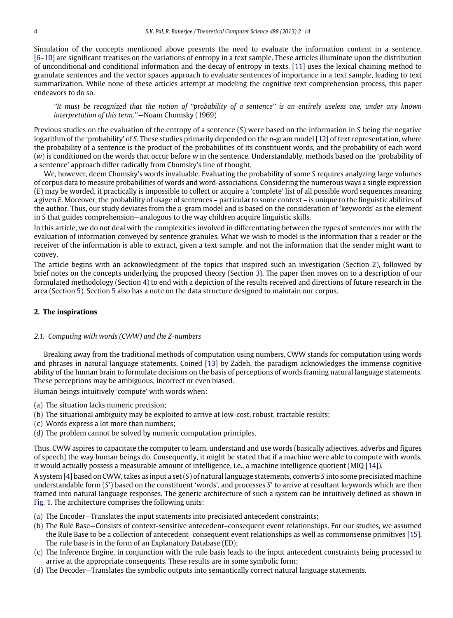Simulation of the concepts mentioned above presents the need to evaluate the information content in a sentence. [\[6](#page-12-3)[–10\]](#page-12-4) are significant treatises on the variations of entropy in a text sample. These articles illuminate upon the distribution of unconditional and conditional information and the decay of entropy in texts. [\[11\]](#page-12-5) uses the lexical chaining method to granulate sentences and the vector spaces approach to evaluate sentences of importance in a text sample, leading to text summarization. While none of these articles attempt at modeling the cognitive text comprehension process, this paper endeavors to do so.

*''It must be recognized that the notion of ''probability of a sentence'' is an entirely useless one, under any known interpretation of this term.''*—Noam Chomsky (1969)

Previous studies on the evaluation of the entropy of a sentence (*S*) were based on the information in *S* being the negative logarithm of the 'probability' of *S*. These studies primarily depended on the *n*-gram model [\[12\]](#page-12-6) of text representation, where the probability of a sentence is the product of the probabilities of its constituent words, and the probability of each word (*w*) is conditioned on the words that occur before *w* in the sentence. Understandably, methods based on the 'probability of a sentence' approach differ radically from Chomsky's line of thought.

We, however, deem Chomsky's words invaluable. Evaluating the probability of some *S* requires analyzing large volumes of corpus data to measure probabilities of words and word-associations. Considering the numerous ways a single expression (*E*) may be worded, it practically is impossible to collect or acquire a 'complete' list of all possible word sequences meaning a given *E*. Moreover, the probability of usage of sentences – particular to some context – is unique to the linguistic abilities of the author. Thus, our study deviates from the *n*-gram model and is based on the consideration of 'keywords' as the element in *S* that guides comprehension—analogous to the way children acquire linguistic skills.

In this article, we do not deal with the complexities involved in differentiating between the types of sentences nor with the evaluation of information conveyed by sentence granules. What we wish to model is the information that a reader or the receiver of the information is able to extract, given a text sample, and not the information that the sender might want to convey.

The article begins with an acknowledgment of the topics that inspired such an investigation (Section [2\)](#page-2-0), followed by brief notes on the concepts underlying the proposed theory (Section [3\)](#page-4-0). The paper then moves on to a description of our formulated methodology (Section [4\)](#page-6-0) to end with a depiction of the results received and directions of future research in the area (Section [5\)](#page-8-0). Section [5](#page-8-0) also has a note on the data structure designed to maintain our corpus.

### <span id="page-2-0"></span>**2. The inspirations**

#### *2.1. Computing with words (CWW) and the Z-numbers*

Breaking away from the traditional methods of computation using numbers, CWW stands for computation using words and phrases in natural language statements. Coined [\[13\]](#page-12-7) by Zadeh, the paradigm acknowledges the immense cognitive ability of the human brain to formulate decisions on the basis of perceptions of words framing natural language statements. These perceptions may be ambiguous, incorrect or even biased.

Human beings intuitively 'compute' with words when:

- (a) The situation lacks numeric precision;
- (b) The situational ambiguity may be exploited to arrive at low-cost, robust, tractable results;
- (c) Words express a lot more than numbers;
- (d) The problem cannot be solved by numeric computation principles.

Thus, CWW aspires to capacitate the computer to learn, understand and use words (basically adjectives, adverbs and figures of speech) the way human beings do. Consequently, it might be stated that if a machine were able to compute with words, it would actually possess a measurable amount of intelligence, i.e., a machine intelligence quotient (MIQ [\[14\]](#page-12-8)).

A system [\[4\]](#page-12-1) based on CWW, takes as input a set (*S*) of natural language statements, converts *S* into some precisiated machine understandable form (*S'*) based on the constituent 'words', and processes *S'* to arrive at resultant keywords which are then framed into natural language responses. The generic architecture of such a system can be intuitively defined as shown in [Fig. 1.](#page-3-0) The architecture comprises the following units:

- (a) The Encoder—Translates the input statements into precisiated antecedent constraints;
- (b) The Rule Base—Consists of context-sensitive antecedent–consequent event relationships. For our studies, we assumed the Rule Base to be a collection of antecedent–consequent event relationships as well as commonsense primitives [\[15\]](#page-12-9). The rule base is in the form of an Explanatory Database (ED);
- (c) The Inference Engine, in conjunction with the rule basis leads to the input antecedent constraints being processed to arrive at the appropriate consequents. These results are in some symbolic form;
- (d) The Decoder—Translates the symbolic outputs into semantically correct natural language statements.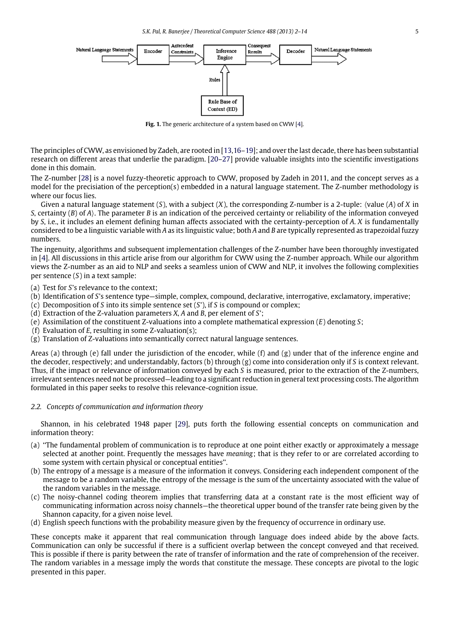<span id="page-3-0"></span>

**Fig. 1.** The generic architecture of a system based on CWW [\[4\]](#page-12-1).

The principles of CWW, as envisioned by Zadeh, are rooted in [\[13](#page-12-7)[,16–](#page-12-10)[19\]](#page-12-11); and over the last decade, there has been substantial research on different areas that underlie the paradigm. [\[20](#page-12-12)[–27\]](#page-12-13) provide valuable insights into the scientific investigations done in this domain.

The Z-number [\[28\]](#page-12-14) is a novel fuzzy-theoretic approach to CWW, proposed by Zadeh in 2011, and the concept serves as a model for the precisiation of the perception(s) embedded in a natural language statement. The Z-number methodology is where our focus lies.

Given a natural language statement (*S*), with a subject (*X*), the corresponding Z-number is a 2-tuple: ⟨value (*A*) of *X* in *S*, certainty (*B*) of *A*⟩. The parameter *B* is an indication of the perceived certainty or reliability of the information conveyed by *S*, i.e., it includes an element defining human affects associated with the certainty-perception of *A*. *X* is fundamentally considered to be a linguistic variable with *A* as its linguistic value; both *A* and *B* are typically represented as trapezoidal fuzzy numbers.

The ingenuity, algorithms and subsequent implementation challenges of the Z-number have been thoroughly investigated in [\[4\]](#page-12-1). All discussions in this article arise from our algorithm for CWW using the Z-number approach. While our algorithm views the Z-number as an aid to NLP and seeks a seamless union of CWW and NLP, it involves the following complexities per sentence (*S*) in a text sample:

- (a) Test for *S*'s relevance to the context;
- (b) Identification of *S*'s sentence type—simple, complex, compound, declarative, interrogative, exclamatory, imperative;
- (c) Decomposition of *S* into its simple sentence set (*S*'), if *S* is compound or complex;
- (d) Extraction of the Z-valuation parameters *X*, *A* and *B*, per element of *S*';
- (e) Assimilation of the constituent Z-valuations into a complete mathematical expression (*E*) denoting *S*;
- (f) Evaluation of *E*, resulting in some Z-valuation(s);
- (g) Translation of Z-valuations into semantically correct natural language sentences.

Areas (a) through (e) fall under the jurisdiction of the encoder, while (f) and (g) under that of the inference engine and the decoder, respectively; and understandably, factors (b) through (g) come into consideration only if *S* is context relevant. Thus, if the impact or relevance of information conveyed by each *S* is measured, prior to the extraction of the Z-numbers, irrelevant sentences need not be processed—leading to a significant reduction in general text processing costs. The algorithm formulated in this paper seeks to resolve this relevance-cognition issue.

#### *2.2. Concepts of communication and information theory*

Shannon, in his celebrated 1948 paper [\[29\]](#page-12-15), puts forth the following essential concepts on communication and information theory:

- (a) ''The fundamental problem of communication is to reproduce at one point either exactly or approximately a message selected at another point. Frequently the messages have *meaning*; that is they refer to or are correlated according to some system with certain physical or conceptual entities''.
- (b) The entropy of a message is a measure of the information it conveys. Considering each independent component of the message to be a random variable, the entropy of the message is the sum of the uncertainty associated with the value of the random variables in the message.
- (c) The noisy-channel coding theorem implies that transferring data at a constant rate is the most efficient way of communicating information across noisy channels—the theoretical upper bound of the transfer rate being given by the Shannon capacity, for a given noise level.
- (d) English speech functions with the probability measure given by the frequency of occurrence in ordinary use.

These concepts make it apparent that real communication through language does indeed abide by the above facts. Communication can only be successful if there is a sufficient overlap between the concept conveyed and that received. This is possible if there is parity between the rate of transfer of information and the rate of comprehension of the receiver. The random variables in a message imply the words that constitute the message. These concepts are pivotal to the logic presented in this paper.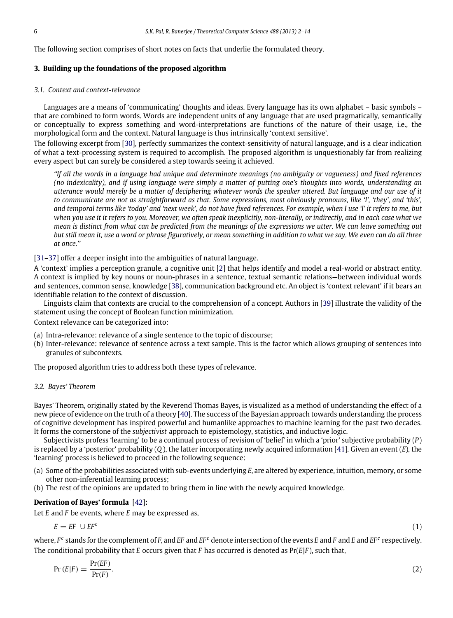The following section comprises of short notes on facts that underlie the formulated theory.

# <span id="page-4-0"></span>**3. Building up the foundations of the proposed algorithm**

#### *3.1. Context and context-relevance*

Languages are a means of 'communicating' thoughts and ideas. Every language has its own alphabet – basic symbols – that are combined to form words. Words are independent units of any language that are used pragmatically, semantically or conceptually to express something and word-interpretations are functions of the nature of their usage, i.e., the morphological form and the context. Natural language is thus intrinsically 'context sensitive'.

The following excerpt from [\[30\]](#page-12-16), perfectly summarizes the context-sensitivity of natural language, and is a clear indication of what a text-processing system is required to accomplish. The proposed algorithm is unquestionably far from realizing every aspect but can surely be considered a step towards seeing it achieved.

*''If all the words in a language had unique and determinate meanings (no ambiguity or vagueness) and fixed references (no indexicality), and if using language were simply a matter of putting one's thoughts into words, understanding an utterance would merely be a matter of deciphering whatever words the speaker uttered. But language and our use of it to communicate are not as straightforward as that. Some expressions, most obviously pronouns, like 'I', 'they', and 'this', and temporal terms like 'today' and 'next week', do not have fixed references. For example, when I use 'I' it refers to me, but when you use it it refers to you. Moreover, we often speak inexplicitly, non-literally, or indirectly, and in each case what we mean is distinct from what can be predicted from the meanings of the expressions we utter. We can leave something out but still mean it, use a word or phrase figuratively, or mean something in addition to what we say. We even can do all three at once.''*

[\[31](#page-12-17)[–37\]](#page-12-18) offer a deeper insight into the ambiguities of natural language.

A 'context' implies a perception granule, a cognitive unit [\[2\]](#page-11-1) that helps identify and model a real-world or abstract entity. A context is implied by key nouns or noun-phrases in a sentence, textual semantic relations—between individual words and sentences, common sense, knowledge [\[38\]](#page-12-19), communication background etc. An object is 'context relevant' if it bears an identifiable relation to the context of discussion.

Linguists claim that contexts are crucial to the comprehension of a concept. Authors in [\[39\]](#page-12-20) illustrate the validity of the statement using the concept of Boolean function minimization.

Context relevance can be categorized into:

- (a) Intra-relevance: relevance of a single sentence to the topic of discourse;
- (b) Inter-relevance: relevance of sentence across a text sample. This is the factor which allows grouping of sentences into granules of subcontexts.

The proposed algorithm tries to address both these types of relevance.

#### *3.2. Bayes' Theorem*

Bayes' Theorem, originally stated by the Reverend Thomas Bayes, is visualized as a method of understanding the effect of a new piece of evidence on the truth of a theory [\[40\]](#page-12-21). The success of the Bayesian approach towards understanding the process of cognitive development has inspired powerful and humanlike approaches to machine learning for the past two decades. It forms the cornerstone of the *subjectivist* approach to epistemology, statistics, and inductive logic.

Subjectivists profess 'learning' to be a continual process of revision of 'belief' in which a 'prior' subjective probability (*P*) is replaced by a 'posterior' probability (*Q*), the latter incorporating newly acquired information [\[41\]](#page-12-22). Given an event (*E*), the 'learning' process is believed to proceed in the following sequence:

- (a) Some of the probabilities associated with sub-events underlying *E*, are altered by experience, intuition, memory, or some other non-inferential learning process;
- (b) The rest of the opinions are updated to bring them in line with the newly acquired knowledge.

### **Derivation of Bayes' formula** [\[42\]](#page-12-23)**:**

<span id="page-4-2"></span><span id="page-4-1"></span>Pr(*EF* )

Let *E* and *F* be events, where *E* may be expressed as,

$$
E = EF \cup EF^c \tag{1}
$$

where, *F c* stands for the complement of *F*, and *EF* and *EF <sup>c</sup>* denote intersection of the events *E* and *F* and *E* and *EF <sup>c</sup>* respectively. The conditional probability that *E* occurs given that *F* has occurred is denoted as Pr(*E*|*F* ), such that,

$$
\Pr\left(E|F\right) = \frac{\Pr(EF)}{\Pr(F)}.\tag{2}
$$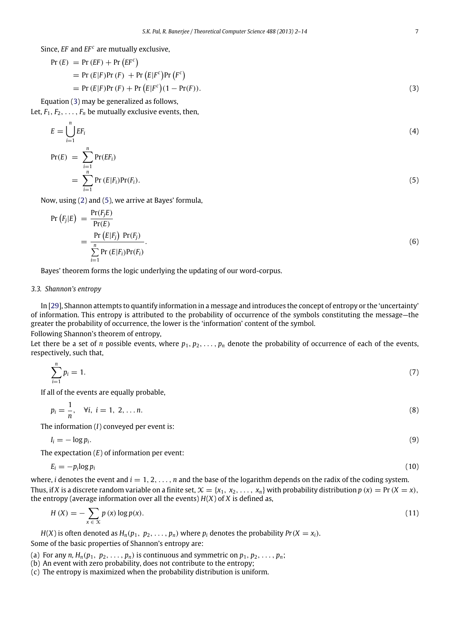Since, EF and  $EF^{c}$  are mutually exclusive,

<span id="page-5-0"></span>
$$
Pr(E) = Pr(EF) + Pr(EFc)
$$
  
= Pr(E|F)Pr(F) + Pr(E|F<sup>c</sup>)Pr(F<sup>c</sup>)  
= Pr(E|F)Pr(F) + Pr(E|F<sup>c</sup>)(1 - Pr(F)). (3)

Equation [\(3\)](#page-5-0) may be generalized as follows,

Let,  $F_1, F_2, \ldots, F_n$  be mutually exclusive events, then,

$$
E = \bigcup_{i=1}^{n} EF_i
$$
  
Pr(E) =  $\sum_{i=1}^{n} \Pr(EF_i)$  (4)

<span id="page-5-5"></span><span id="page-5-2"></span>
$$
= \sum_{i=1}^{n} \Pr(E|F_i) \Pr(F_i).
$$
 (5)

Now, using [\(2\)](#page-4-1) and [\(5\)](#page-5-1), we arrive at Bayes' formula,

$$
\Pr\left(F_j|E\right) = \frac{\Pr(F_jE)}{\Pr(E)} = \frac{\Pr\left(E|F_j\right)\Pr(F_j)}{\sum_{i=1}^n \Pr\left(E|F_i\right)\Pr(F_i)}.
$$
\n(6)

Bayes' theorem forms the logic underlying the updating of our word-corpus.

#### *3.3. Shannon's entropy*

In [\[29\]](#page-12-15), Shannon attempts to quantify information in a message and introduces the concept of entropy or the 'uncertainty' of information. This entropy is attributed to the probability of occurrence of the symbols constituting the message—the greater the probability of occurrence, the lower is the 'information' content of the symbol.

Following Shannon's theorem of entropy,

Let there be a set of *n* possible events, where  $p_1, p_2, \ldots, p_n$  denote the probability of occurrence of each of the events, respectively, such that,

$$
\sum_{i=1}^{n} p_i = 1. \tag{7}
$$

If all of the events are equally probable,

$$
p_i = \frac{1}{n}, \quad \forall i, \ i = 1, \ 2, \dots n. \tag{8}
$$

The information (*I*) conveyed per event is:

<span id="page-5-3"></span>
$$
I_i = -\log p_i. \tag{9}
$$

The expectation (*E*) of information per event:

$$
E_i = -p_i \log p_i \tag{10}
$$

where, *i* denotes the event and  $i = 1, 2, \ldots, n$  and the base of the logarithm depends on the radix of the coding system. Thus, if *X* is a discrete random variable on a finite set,  $X = \{x_1, x_2, \ldots, x_n\}$  with probability distribution  $p(x) = \Pr(X = x)$ , the entropy (average information over all the events) *H*(*X*) of *X* is defined as,

$$
H(X) = -\sum_{x \in \mathcal{X}} p(x) \log p(x). \tag{11}
$$

*H*(*X*) is often denoted as *H<sub>n</sub>*( $p_1$ ,  $p_2$ , ...,  $p_n$ ) where  $p_i$  denotes the probability  $Pr(X = x_i)$ .

Some of the basic properties of Shannon's entropy are:

- (a) For any  $n, H_n(p_1, p_2, \ldots, p_n)$  is continuous and symmetric on  $p_1, p_2, \ldots, p_n$ ;
- (b) An event with zero probability, does not contribute to the entropy;
- (c) The entropy is maximized when the probability distribution is uniform.

<span id="page-5-4"></span><span id="page-5-1"></span>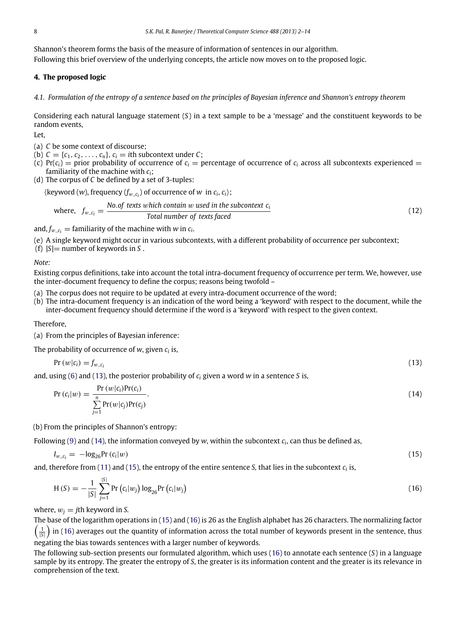Shannon's theorem forms the basis of the measure of information of sentences in our algorithm. Following this brief overview of the underlying concepts, the article now moves on to the proposed logic.

# <span id="page-6-0"></span>**4. The proposed logic**

*4.1. Formulation of the entropy of a sentence based on the principles of Bayesian inference and Shannon's entropy theorem*

Considering each natural language statement (*S*) in a text sample to be a 'message' and the constituent keywords to be random events,

 $Let$ 

- (a) *C* be some context of discourse;
- (b)  $C = \{c_1, c_2, ..., c_n\}, c_i = i$ th subcontext under *C*;
- (c) Pr( $c_i$ ) = prior probability of occurrence of  $c_i$  = percentage of occurrence of  $c_i$  across all subcontexts experienced = familiarity of the machine with *ci*;
- (d) The corpus of *C* be defined by a set of 3-tuples:

 $\langle$  keyword  $(w)$ , frequency  $(f_{w_{c_i}})$  of occurrence of  $w$  in  $c_i$ ,  $c_i$ );

where, 
$$
f_{w_{-}c_i} = \frac{\text{No. of texts which contain } w \text{ used in the subcontext } c_i}{\text{Total number of texts faced}}
$$
 (12)

and,  $f_{w_c c_i}$  = familiarity of the machine with *w* in  $c_i$ .

- (e) A single keyword might occur in various subcontexts, with a different probability of occurrence per subcontext;
- (f) |*S*|= number of keywords in *S* .

*Note:*

Existing corpus definitions, take into account the total intra-document frequency of occurrence per term. We, however, use the inter-document frequency to define the corpus; reasons being twofold –

- (a) The corpus does not require to be updated at every intra-document occurrence of the word;
- (b) The intra-document frequency is an indication of the word being a 'keyword' with respect to the document, while the inter-document frequency should determine if the word is a 'keyword' with respect to the given context.

Therefore,

(a) From the principles of Bayesian inference:

The probability of occurrence of *w*, given *c<sup>i</sup>* is,

<span id="page-6-1"></span>
$$
\Pr(w|c_i) = f_{w_c c_i} \tag{13}
$$

and, using  $(6)$  and  $(13)$ , the posterior probability of  $c_i$  given a word w in a sentence *S* is,

<span id="page-6-2"></span>
$$
\Pr\left(c_i|w\right) = \frac{\Pr\left(w|c_i\right)\Pr(c_i)}{\sum_{j=1}^{n}\Pr\left(w|c_j\right)\Pr(c_j)}.\tag{14}
$$

(b) From the principles of Shannon's entropy:

Following [\(9\)](#page-5-3) and [\(14\)](#page-6-2), the information conveyed by *w*, within the subcontext *c<sup>i</sup>* , can thus be defined as,

<span id="page-6-3"></span>
$$
I_{w_{\text{L}}c_i} = -\log_{26} \Pr\left(c_i|w\right) \tag{15}
$$

and, therefore from [\(11\)](#page-5-4) and [\(15\)](#page-6-3), the entropy of the entire sentence *S*, that lies in the subcontext  $c_i$  is,

<span id="page-6-4"></span>
$$
H(S) = -\frac{1}{|S|} \sum_{j=1}^{|S|} Pr(c_i|w_j) \log_{26} Pr(c_i|w_j)
$$
\n(16)

where,  $w_i = j$ th keyword in *S*.

The base of the logarithm operations in [\(15\)](#page-6-3) and [\(16\)](#page-6-4) is 26 as the English alphabet has 26 characters. The normalizing factor  $\left(\frac{1}{|S|}\right)$  in [\(16\)](#page-6-4) averages out the quantity of information across the total number of keywords present in the sentence, thus negating the bias towards sentences with a larger number of keywords.

The following sub-section presents our formulated algorithm, which uses [\(16\)](#page-6-4) to annotate each sentence (*S*) in a language sample by its entropy. The greater the entropy of *S*, the greater is its information content and the greater is its relevance in comprehension of the text.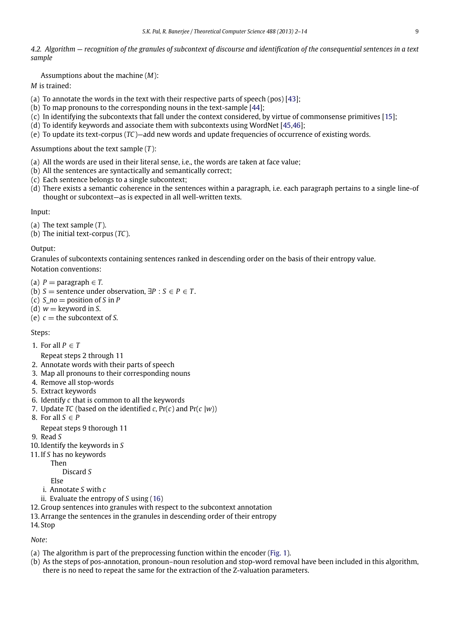<span id="page-7-0"></span>*4.2. Algorithm — recognition of the granules of subcontext of discourse and identification of the consequential sentences in a text sample*

Assumptions about the machine (*M*):

*M* is trained:

- (a) To annotate the words in the text with their respective parts of speech (pos) [\[43\]](#page-12-24);
- (b) To map pronouns to the corresponding nouns in the text-sample [\[44\]](#page-12-25);
- (c) In identifying the subcontexts that fall under the context considered, by virtue of commonsense primitives [\[15\]](#page-12-9);
- (d) To identify keywords and associate them with subcontexts using WordNet [\[45,](#page-12-26)[46\]](#page-12-27);
- (e) To update its text-corpus (*TC*)—add new words and update frequencies of occurrence of existing words.

Assumptions about the text sample (*T* ):

- (a) All the words are used in their literal sense, i.e., the words are taken at face value;
- (b) All the sentences are syntactically and semantically correct;
- (c) Each sentence belongs to a single subcontext;
- (d) There exists a semantic coherence in the sentences within a paragraph, i.e. each paragraph pertains to a single line-of thought or subcontext—as is expected in all well-written texts.

Input:

- (a) The text sample (*T* ).
- (b) The initial text-corpus (*TC*).

Output:

Granules of subcontexts containing sentences ranked in descending order on the basis of their entropy value. Notation conventions:

(a)  $P =$  paragraph  $\in T$ .

- (b) *S* = sentence under observation,  $\exists P : S \in P \in T$ .
- (c) *S*  $no = position of S in P$
- (d)  $w =$  keyword in *S*.
- (e)  $c =$  the subcontext of *S*.

# Steps:

1. For all  $P \in T$ 

- Repeat steps 2 through 11
- 2. Annotate words with their parts of speech
- 3. Map all pronouns to their corresponding nouns
- 4. Remove all stop-words
- 5. Extract keywords
- 6. Identify *c* that is common to all the keywords
- 7. Update *TC* (based on the identified *c*, Pr(*c*) and Pr(*c* |*w*))
- 8. For all *S* ∈ *P*

Repeat steps 9 thorough 11

9. Read *S*

- 10. Identify the keywords in *S*
- 11. If *S* has no keywords

Then

Discard *S*

Else

- i. Annotate *S* with *c*
- ii. Evaluate the entropy of *S* using [\(16\)](#page-6-4)
- 12. Group sentences into granules with respect to the subcontext annotation
- 13. Arrange the sentences in the granules in descending order of their entropy

14. Stop

*Note*:

- (a) The algorithm is part of the preprocessing function within the encoder [\(Fig. 1\)](#page-3-0).
- (b) As the steps of pos-annotation, pronoun–noun resolution and stop-word removal have been included in this algorithm, there is no need to repeat the same for the extraction of the Z-valuation parameters.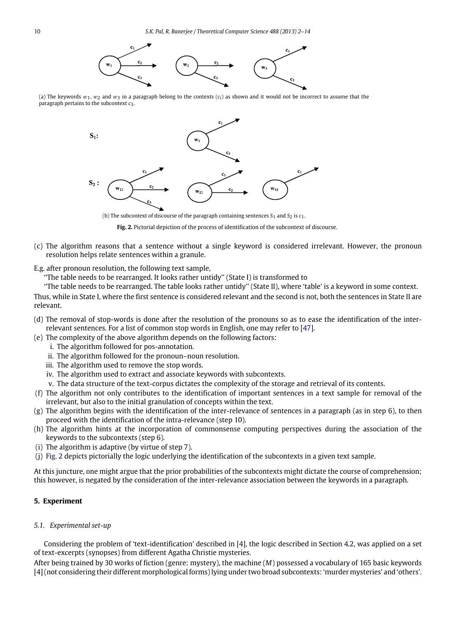

<span id="page-8-1"></span>(a) The keywords  $w_1, w_2$  and  $w_3$  in a paragraph belong to the contexts ( $c_i$ ) as shown and it would not be incorrect to assume that the paragraph pertains to the subcontext *c*3.



(b) The subcontext of discourse of the paragraph containing sentences  $S_1$  and  $S_2$  is  $c_1$ .

**Fig. 2.** Pictorial depiction of the process of identification of the subcontext of discourse.

- (c) The algorithm reasons that a sentence without a single keyword is considered irrelevant. However, the pronoun resolution helps relate sentences within a granule.
- E.g. after pronoun resolution, the following text sample,

''The table needs to be rearranged. It looks rather untidy'' (State I) is transformed to

''The table needs to be rearranged. The table looks rather untidy'' (State II), where 'table' is a keyword in some context.

Thus, while in State I, where the first sentence is considered relevant and the second is not, both the sentences in State II are relevant.

- (d) The removal of stop-words is done after the resolution of the pronouns so as to ease the identification of the interrelevant sentences. For a list of common stop words in English, one may refer to [\[47\]](#page-12-28).
- (e) The complexity of the above algorithm depends on the following factors:
	- i. The algorithm followed for pos-annotation.
	- ii. The algorithm followed for the pronoun–noun resolution.
	- iii. The algorithm used to remove the stop words.
	- iv. The algorithm used to extract and associate keywords with subcontexts.
	- v. The data structure of the text-corpus dictates the complexity of the storage and retrieval of its contents.
- (f) The algorithm not only contributes to the identification of important sentences in a text sample for removal of the irrelevant, but also to the initial granulation of concepts within the text.
- (g) The algorithm begins with the identification of the inter-relevance of sentences in a paragraph (as in step 6), to then proceed with the identification of the intra-relevance (step 10).
- (h) The algorithm hints at the incorporation of commonsense computing perspectives during the association of the keywords to the subcontexts (step 6).
- (i) The algorithm is adaptive (by virtue of step 7).
- (j) [Fig. 2](#page-8-1) depicts pictorially the logic underlying the identification of the subcontexts in a given text sample.

At this juncture, one might argue that the prior probabilities of the subcontexts might dictate the course of comprehension; this however, is negated by the consideration of the inter-relevance association between the keywords in a paragraph.

# <span id="page-8-0"></span>**5. Experiment**

#### *5.1. Experimental set-up*

Considering the problem of 'text-identification' described in [\[4\]](#page-12-1), the logic described in Section [4.2,](#page-7-0) was applied on a set of text-excerpts (synopses) from different Agatha Christie mysteries.

After being trained by 30 works of fiction (genre: mystery), the machine (*M*) possessed a vocabulary of 165 basic keywords [\[4\]](#page-12-1) (not considering their different morphological forms) lying under two broad subcontexts: 'murder mysteries' and 'others'.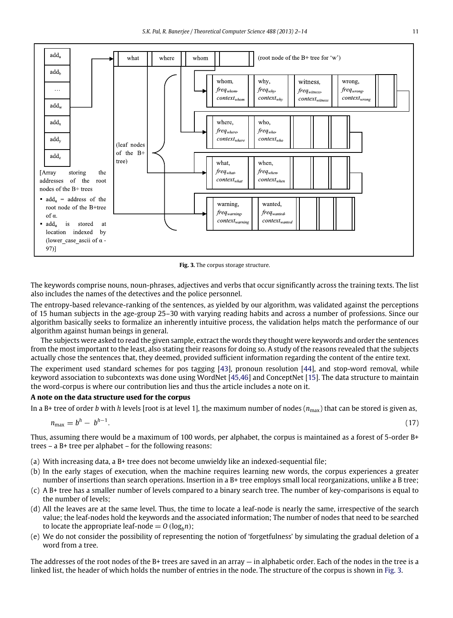<span id="page-9-0"></span>

**Fig. 3.** The corpus storage structure.

The keywords comprise nouns, noun-phrases, adjectives and verbs that occur significantly across the training texts. The list also includes the names of the detectives and the police personnel.

The entropy-based relevance-ranking of the sentences, as yielded by our algorithm, was validated against the perceptions of 15 human subjects in the age-group 25–30 with varying reading habits and across a number of professions. Since our algorithm basically seeks to formalize an inherently intuitive process, the validation helps match the performance of our algorithm against human beings in general.

The subjects were asked to read the given sample, extract the words they thought were keywords and order the sentences from the most important to the least, also stating their reasons for doing so. A study of the reasons revealed that the subjects actually chose the sentences that, they deemed, provided sufficient information regarding the content of the entire text.

The experiment used standard schemes for pos tagging [\[43\]](#page-12-24), pronoun resolution [\[44\]](#page-12-25), and stop-word removal, while keyword association to subcontexts was done using WordNet [\[45](#page-12-26)[,46\]](#page-12-27) and ConceptNet [\[15\]](#page-12-9). The data structure to maintain the word-corpus is where our contribution lies and thus the article includes a note on it.

#### **A note on the data structure used for the corpus**

In a B+ tree of order *b* with *h* levels [root is at level 1], the maximum number of nodes ( $n_{\text{max}}$ ) that can be stored is given as,

$$
n_{\max} = b^h - b^{h-1}.\tag{17}
$$

Thus, assuming there would be a maximum of 100 words, per alphabet, the corpus is maintained as a forest of 5-order B+ trees – a B+ tree per alphabet – for the following reasons:

- (a) With increasing data, a B+ tree does not become unwieldy like an indexed-sequential file;
- (b) In the early stages of execution, when the machine requires learning new words, the corpus experiences a greater number of insertions than search operations. Insertion in a B+ tree employs small local reorganizations, unlike a B tree;
- (c) A B+ tree has a smaller number of levels compared to a binary search tree. The number of key-comparisons is equal to the number of levels;
- (d) All the leaves are at the same level. Thus, the time to locate a leaf-node is nearly the same, irrespective of the search value; the leaf-nodes hold the keywords and the associated information; The number of nodes that need to be searched to locate the appropriate leaf-node  $= O(\log_b n)$ ;
- (e) We do not consider the possibility of representing the notion of 'forgetfulness' by simulating the gradual deletion of a word from a tree.

The addresses of the root nodes of the B+ trees are saved in an array — in alphabetic order. Each of the nodes in the tree is a linked list, the header of which holds the number of entries in the node. The structure of the corpus is shown in [Fig. 3.](#page-9-0)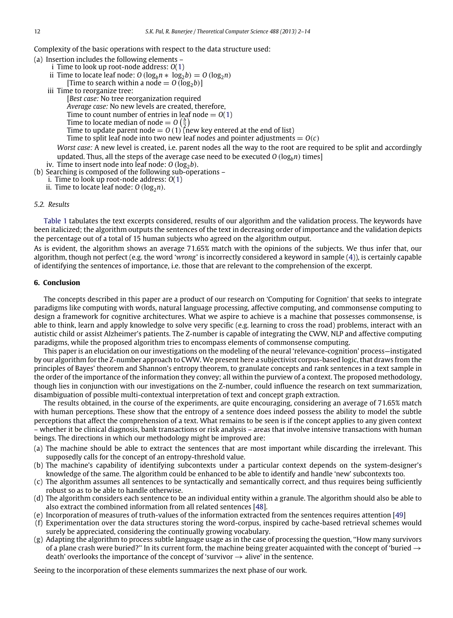Complexity of the basic operations with respect to the data structure used:

- (a) Insertion includes the following elements
	- i Time to look up root-node address: *O*[\(1\)](#page-4-2)
	- ii Time to locate leaf node:  $O(log_b n * log_2 b) = O(log_2 n)$ [Time to search within a node  $=$  0 (log<sub>2</sub>b)]
	- iii Time to reorganize tree:

[*Best case:* No tree reorganization required

*Average case:* No new levels are created, therefore,

Time to count number of entries in leaf node  $= 0(1)$  $= 0(1)$ 

Time to locate median of node =  $O\left(\frac{b}{2}\right)$ 

Time to update parent node  $= O(1)$  (new key entered at the end of list)

Time to split leaf node into two new leaf nodes and pointer adjustments  $= O(c)$ 

*Worst case:* A new level is created, i.e. parent nodes all the way to the root are required to be split and accordingly updated. Thus, all the steps of the average case need to be executed  $O(log_b n)$  times

iv. Time to insert node into leaf node:  $O(log_2b)$ .

(b) Searching is composed of the following sub-operations –

- i. Time to look up root-node address: *[O](#page-4-2)*[\(1\)](#page-4-2)
- ii. Time to locate leaf node:  $O(log_2 n)$ .

# *5.2. Results*

[Table 1](#page-11-2) tabulates the text excerpts considered, results of our algorithm and the validation process. The keywords have been italicized; the algorithm outputs the sentences of the text in decreasing order of importance and the validation depicts the percentage out of a total of 15 human subjects who agreed on the algorithm output.

As is evident, the algorithm shows an average 71.65% match with the opinions of the subjects. We thus infer that, our algorithm, though not perfect (e.g. the word '*wrong*' is incorrectly considered a keyword in sample [\(4\)](#page-5-5)), is certainly capable of identifying the sentences of importance, i.e. those that are relevant to the comprehension of the excerpt.

# **6. Conclusion**

The concepts described in this paper are a product of our research on 'Computing for Cognition' that seeks to integrate paradigms like computing with words, natural language processing, affective computing, and commonsense computing to design a framework for cognitive architectures. What we aspire to achieve is a machine that possesses commonsense, is able to think, learn and apply knowledge to solve very specific (e.g. learning to cross the road) problems, interact with an autistic child or assist Alzheimer's patients. The Z-number is capable of integrating the CWW, NLP and affective computing paradigms, while the proposed algorithm tries to encompass elements of commonsense computing.

This paper is an elucidation on our investigations on the modeling of the neural 'relevance-cognition' process—instigated by our algorithm for the Z-number approach to CWW. We present here a subjectivist corpus-based logic, that draws from the principles of Bayes' theorem and Shannon's entropy theorem, to granulate concepts and rank sentences in a text sample in the order of the importance of the information they convey; all within the purview of a context. The proposed methodology, though lies in conjunction with our investigations on the Z-number, could influence the research on text summarization, disambiguation of possible multi-contextual interpretation of text and concept graph extraction.

The results obtained, in the course of the experiments, are quite encouraging, considering an average of 71.65% match with human perceptions. These show that the entropy of a sentence does indeed possess the ability to model the subtle perceptions that affect the comprehension of a text. What remains to be seen is if the concept applies to any given context – whether it be clinical diagnosis, bank transactions or risk analysis – areas that involve intensive transactions with human beings. The directions in which our methodology might be improved are:

- (a) The machine should be able to extract the sentences that are most important while discarding the irrelevant. This supposedly calls for the concept of an entropy-threshold value.
- (b) The machine's capability of identifying subcontexts under a particular context depends on the system-designer's knowledge of the same. The algorithm could be enhanced to be able to identify and handle 'new' subcontexts too.
- (c) The algorithm assumes all sentences to be syntactically and semantically correct, and thus requires being sufficiently robust so as to be able to handle otherwise.
- (d) The algorithm considers each sentence to be an individual entity within a granule. The algorithm should also be able to also extract the combined information from all related sentences [\[48\]](#page-12-29).
- (e) Incorporation of measures of truth-values of the information extracted from the sentences requires attention [\[49\]](#page-12-30)
- (f) Experimentation over the data structures storing the word-corpus, inspired by cache-based retrieval schemes would surely be appreciated, considering the continually growing vocabulary.
- (g) Adapting the algorithm to process subtle language usage as in the case of processing the question, ''How many survivors of a plane crash were buried?" In its current form, the machine being greater acquainted with the concept of 'buried  $\rightarrow$ death' overlooks the importance of the concept of 'survivor  $\rightarrow$  alive' in the sentence.

Seeing to the incorporation of these elements summarizes the next phase of our work.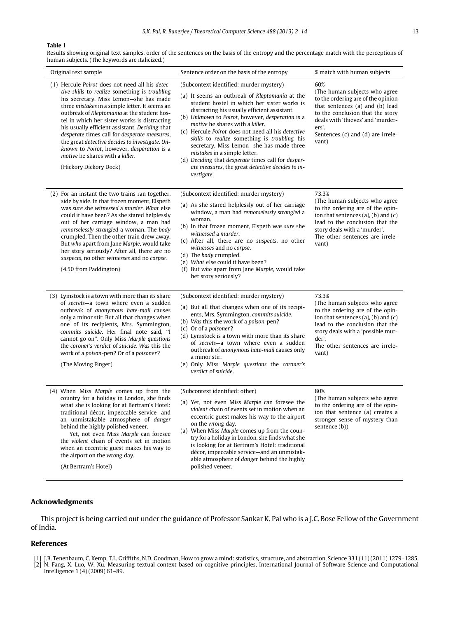### **Table 1**

<span id="page-11-2"></span>Results showing original text samples, order of the sentences on the basis of the entropy and the percentage match with the perceptions of human subjects. (The keywords are italicized.)

| Original text sample                                                                                                                                                                                                                                                                                                                                                                                                                                                                                                                                        | Sentence order on the basis of the entropy                                                                                                                                                                                                                                                                                                                                                                                                                                                                                                                                                | % match with human subjects                                                                                                                                                                                                                    |
|-------------------------------------------------------------------------------------------------------------------------------------------------------------------------------------------------------------------------------------------------------------------------------------------------------------------------------------------------------------------------------------------------------------------------------------------------------------------------------------------------------------------------------------------------------------|-------------------------------------------------------------------------------------------------------------------------------------------------------------------------------------------------------------------------------------------------------------------------------------------------------------------------------------------------------------------------------------------------------------------------------------------------------------------------------------------------------------------------------------------------------------------------------------------|------------------------------------------------------------------------------------------------------------------------------------------------------------------------------------------------------------------------------------------------|
| (1) Hercule Poirot does not need all his detec-<br>tive skills to realize something is troubling<br>his secretary, Miss Lemon-she has made<br>three mistakes in a simple letter. It seems an<br>outbreak of Kleptomania at the student hos-<br>tel in which her sister works is distracting<br>his usually efficient assistant. Deciding that<br>desperate times call for desperate measures,<br>the great detective decides to investigate. Un-<br>known to Poirot, however, desperation is a<br>motive he shares with a killer.<br>(Hickory Dickory Dock) | (Subcontext identified: murder mystery)<br>(a) It seems an outbreak of Kleptomania at the<br>student hostel in which her sister works is<br>distracting his usually efficient assistant.<br>(b) Unknown to Poirot, however, desperation is a<br>motive he shares with a killer.<br>(c) Hercule Poirot does not need all his detective<br>skills to realize something is troubling his<br>secretary, Miss Lemon-she has made three<br>mistakes in a simple letter.<br>(d) Deciding that desperate times call for desper-<br>ate measures, the great detective decides to in-<br>vestigate. | 60%<br>(The human subjects who agree<br>to the ordering are of the opinion<br>that sentences (a) and (b) lead<br>to the conclusion that the story<br>deals with 'thieves' and 'murder-<br>ers'.<br>Sentences (c) and (d) are irrele-<br>vant)  |
| (2) For an instant the two trains ran together,<br>side by side. In that frozen moment, Elspeth<br>was sure she witnessed a murder. What else<br>could it have been? As she stared helplessly<br>out of her carriage window, a man had<br>remorselessly strangled a woman. The body<br>crumpled. Then the other train drew away.<br>But who apart from Jane Marple, would take<br>her story seriously? After all, there are no<br>suspects, no other witnesses and no corpse.<br>(4.50 from Paddington)                                                     | (Subcontext identified: murder mystery)<br>(a) As she stared helplessly out of her carriage<br>window, a man had remorselessly strangled a<br>woman.<br>(b) In that frozen moment, Elspeth was sure she<br>witnessed a murder.<br>(c) After all, there are no suspects, no other<br>witnesses and no corpse.<br>(d) The body crumpled.<br>(e) What else could it have been?<br>(f) But who apart from Jane Marple, would take<br>her story seriously?                                                                                                                                     | 73.3%<br>(The human subjects who agree<br>to the ordering are of the opin-<br>ion that sentences $(a)$ , $(b)$ and $(c)$<br>lead to the conclusion that the<br>story deals with a 'murder'.<br>The other sentences are irrele-<br>vant)        |
| (3) Lymstock is a town with more than its share<br>of secrets-a town where even a sudden<br>outbreak of anonymous hate-mail causes<br>only a minor stir. But all that changes when<br>one of its recipients, Mrs. Symmington,<br>commits suicide. Her final note said, "I<br>cannot go on". Only Miss Marple questions<br>the coroner's verdict of suicide. Was this the<br>work of a poison-pen? Or of a poisoner?<br>(The Moving Finger)                                                                                                                  | (Subcontext identified: murder mystery)<br>(a) But all that changes when one of its recipi-<br>ents, Mrs. Symmington, commits suicide.<br>(b) Was this the work of a poison-pen?<br>(c) Or of a poisoner?<br>(d) Lymstock is a town with more than its share<br>of secrets-a town where even a sudden<br>outbreak of anonymous hate-mail causes only<br>a minor stir.<br>(e) Only Miss Marple questions the coroner's<br>verdict of suicide.                                                                                                                                              | 73.3%<br>(The human subjects who agree<br>to the ordering are of the opin-<br>ion that sentences (a), (b) and (c)<br>lead to the conclusion that the<br>story deals with a 'possible mur-<br>der'.<br>The other sentences are irrele-<br>vant) |
| (4) When Miss Marple comes up from the<br>country for a holiday in London, she finds<br>what she is looking for at Bertram's Hotel:<br>traditional décor, impeccable service-and<br>an unmistakable atmosphere of danger<br>behind the highly polished veneer.<br>Yet, not even Miss Marple can foresee<br>the violent chain of events set in motion<br>when an eccentric guest makes his way to<br>the airport on the wrong day.<br>(At Bertram's Hotel)                                                                                                   | (Subcontext identified: other)<br>(a) Yet, not even Miss Marple can foresee the<br>violent chain of events set in motion when an<br>eccentric guest makes his way to the airport<br>on the wrong day.<br>(a) When Miss Marple comes up from the coun-<br>try for a holiday in London, she finds what she<br>is looking for at Bertram's Hotel: traditional<br>décor, impeccable service-and an unmistak-<br>able atmosphere of danger behind the highly<br>polished veneer.                                                                                                               | 80%<br>(The human subjects who agree<br>to the ordering are of the opin-<br>ion that sentence (a) creates a<br>stronger sense of mystery than<br>sentence (b))                                                                                 |

# **Acknowledgments**

This project is being carried out under the guidance of Professor Sankar K. Pal who is a J.C. Bose Fellow of the Government of India.

### **References**

<span id="page-11-1"></span><span id="page-11-0"></span>11 J.B. Tenenbaum, C. Kemp, T.L. Griffiths, N.D. Goodman, How to grow a mind: statistics, structure, and abstraction, Science 331 (11) (2011) 1279–1285. [2] N. Fang, X. Luo, W. Xu, Measuring textual context based on cognit